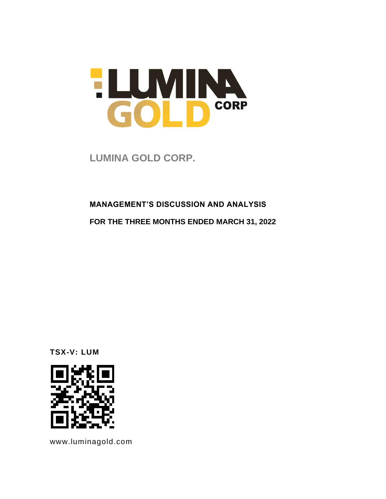

**LUMINA GOLD CORP.** 

### **MANAGEMENT'S DISCUSSION AND ANALYSIS**

**FOR THE THREE MONTHS ENDED MARCH 31, 2022**

**TSX-V: LUM**



www.luminagold.com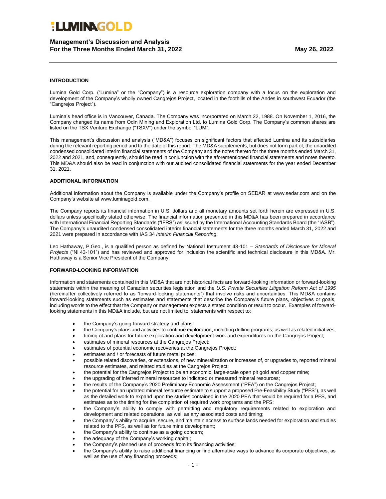### **Management's Discussion and Analysis For the Three Months Ended March 31, 2022 May 26, 2022**

### **INTRODUCTION**

Lumina Gold Corp. ("Lumina" or the "Company") is a resource exploration company with a focus on the exploration and development of the Company's wholly owned Cangrejos Project, located in the foothills of the Andes in southwest Ecuador (the "Cangrejos Project").

Lumina's head office is in Vancouver, Canada. The Company was incorporated on March 22, 1988. On November 1, 2016, the Company changed its name from Odin Mining and Exploration Ltd. to Lumina Gold Corp. The Company's common shares are listed on the TSX Venture Exchange ("TSXV") under the symbol "LUM".

This management's discussion and analysis ("MD&A") focuses on significant factors that affected Lumina and its subsidiaries during the relevant reporting period and to the date of this report. The MD&A supplements, but does not form part of, the unaudited condensed consolidated interim financial statements of the Company and the notes thereto for the three months ended March 31, 2022 and 2021, and, consequently, should be read in conjunction with the aforementioned financial statements and notes thereto. This MD&A should also be read in conjunction with our audited consolidated financial statements for the year ended December 31, 2021.

#### **ADDITIONAL INFORMATION**

Additional information about the Company is available under the Company's profile on SEDAR at www.sedar.com and on the Company's website at www.luminagold.com.

The Company reports its financial information in U.S. dollars and all monetary amounts set forth herein are expressed in U.S. dollars unless specifically stated otherwise. The financial information presented in this MD&A has been prepared in accordance with International Financial Reporting Standards ("IFRS") as issued by the International Accounting Standards Board (the "IASB"). The Company's unaudited condensed consolidated interim financial statements for the three months ended March 31, 2022 and 2021 were prepared in accordance with IAS 34 *Interim Financial Reporting*.

Leo Hathaway, P.Geo., is a qualified person as defined by National Instrument 43-101 – *Standards of Disclosure for Mineral Projects* ("NI 43-101") and has reviewed and approved for inclusion the scientific and technical disclosure in this MD&A. Mr. Hathaway is a Senior Vice President of the Company.

#### **FORWARD-LOOKING INFORMATION**

Information and statements contained in this MD&A that are not historical facts are forward-looking information or forward-looking statements within the meaning of Canadian securities legislation and the *U.S. Private Securities Litigation Reform Act of 1995* (hereinafter collectively referred to as "forward-looking statements") that involve risks and uncertainties. This MD&A contains forward-looking statements such as estimates and statements that describe the Company's future plans, objectives or goals, including words to the effect that the Company or management expects a stated condition or result to occur. Examples of forwardlooking statements in this MD&A include, but are not limited to, statements with respect to:

- the Company's going-forward strategy and plans;
- the Company's plans and activities to continue exploration, including drilling programs, as well as related initiatives;
- timing of and plans for future exploration and development work and expenditures on the Cangrejos Project;
- estimates of mineral resources at the Cangrejos Project;
- estimates of potential economic recoveries at the Cangrejos Project:
- estimates and / or forecasts of future metal prices;
- possible related discoveries, or extensions, of new mineralization or increases of, or upgrades to, reported mineral resource estimates, and related studies at the Cangrejos Project;
- the potential for the Cangrejos Project to be an economic, large-scale open pit gold and copper mine;
- the upgrading of inferred mineral resources to indicated or measured mineral resources;
- the results of the Company's 2020 Preliminary Economic Assessment ("PEA") on the Cangrejos Project;
- the potential for an updated mineral resource estimate to support a proposed Pre-Feasibility Study ("PFS"), as well as the detailed work to expand upon the studies contained in the 2020 PEA that would be required for a PFS, and estimates as to the timing for the completion of required work programs and the PFS;
- the Company's ability to comply with permitting and regulatory requirements related to exploration and development and related operations, as well as any associated costs and timing;
- the Company´s ability to acquire, secure, and maintain access to surface lands needed for exploration and studies related to the PFS, as well as for future mine development;
- the Company's ability to continue as a going concern;
- the adequacy of the Company's working capital;
- the Company's planned use of proceeds from its financing activities;
- the Company's ability to raise additional financing or find alternative ways to advance its corporate objectives, as well as the use of any financing proceeds;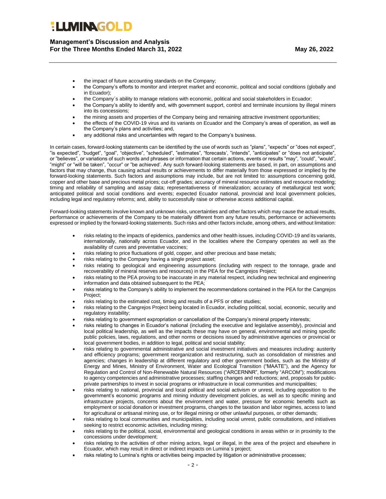**Management's Discussion and Analysis For the Three Months Ended March 31, 2022 May 26, 2022**

- the impact of future accounting standards on the Company;
- the Company's efforts to monitor and interpret market and economic, political and social conditions (globally and in Ecuador);
- the Company´s ability to manage relations with economic, political and social stakeholders in Ecuador;
- the Company's ability to identify and, with government support, control and terminate incursions by illegal miners into its concessions;
- the mining assets and properties of the Company being and remaining attractive investment opportunities;
- the effects of the COVID-19 virus and its variants on Ecuador and the Company's areas of operation, as well as the Company's plans and activities; and,
- any additional risks and uncertainties with regard to the Company's business.

In certain cases, forward-looking statements can be identified by the use of words such as "plans", "expects" or "does not expect", "is expected", "budget", "goal", "objective", "scheduled", "estimates", "forecasts', "intends", "anticipates" or "does not anticipate", or "believes", or variations of such words and phrases or information that certain actions, events or results "may", "could", "would", "might" or "will be taken", "occur" or "be achieved'. Any such forward-looking statements are based, in part, on assumptions and factors that may change, thus causing actual results or achievements to differ materially from those expressed or implied by the forward-looking statements. Such factors and assumptions may include, but are not limited to: assumptions concerning gold, copper and other base and precious metal prices; cut-off grades; accuracy of mineral resource estimates and resource modeling; timing and reliability of sampling and assay data; representativeness of mineralization; accuracy of metallurgical test work; anticipated political and social conditions and events; expected Ecuador national, provincial and local government policies, including legal and regulatory reforms; and, ability to successfully raise or otherwise access additional capital.

Forward-looking statements involve known and unknown risks, uncertainties and other factors which may cause the actual results, performance or achievements of the Company to be materially different from any future results, performance or achievements expressed or implied by the forward-looking statements. Such risks and other factors include, among others, and without limitation:

- risks relating to the impacts of epidemics, pandemics and other health issues, including COVID-19 and its variants, internationally, nationally across Ecuador, and in the localities where the Company operates as well as the availability of cures and preventative vaccines;
- risks relating to price fluctuations of gold, copper, and other precious and base metals;
- risks relating to the Company having a single project asset;
- risks relating to geological and engineering assumptions (including with respect to the tonnage, grade and recoverability of mineral reserves and resources) in the PEA for the Cangrejos Project;
- risks relating to the PEA proving to be inaccurate in any material respect, including new technical and engineering information and data obtained subsequent to the PEA;
- risks relating to the Company's ability to implement the recommendations contained in the PEA for the Cangrejos Project;
- risks relating to the estimated cost, timing and results of a PFS or other studies;
- risks relating to the Cangrejos Project being located in Ecuador, including political, social, economic, security and regulatory instability;
- risks relating to government expropriation or cancellation of the Company's mineral property interests;
- risks relating to changes in Ecuador's national (including the executive and legislative assembly), provincial and local political leadership, as well as the impacts these may have on general, environmental and mining specific public policies, laws, regulations, and other norms or decisions issued by administrative agencies or provincial or local government bodies, in addition to legal, political and social stability;
- risks relating to governmental administrative and social investment initiatives and measures including: austerity and efficiency programs; government reorganization and restructuring, such as consolidation of ministries and agencies; changes in leadership at different regulatory and other government bodies, such as the Ministry of Energy and Mines, Ministry of Environment, Water and Ecological Transition ("MAATE"), and the Agency for Regulation and Control of Non-Renewable Natural Resources ("ARCERNNR", formerly "ARCOM"); modifications to agency competencies and administrative processes; staffing changes and reductions; and, proposals for publicprivate partnerships to invest in social programs or infrastructure in local communities and municipalities;
- risks relating to national, provincial and local political and social activism or unrest, including opposition to the government's economic programs and mining industry development policies, as well as to specific mining and infrastructure projects, concerns about the environment and water, pressure for economic benefits such as employment or social donation or investment programs, changes to the taxation and labor regimes, access to land for agricultural or artisanal mining use, or for illegal mining or other unlawful purposes, or other demands;
- risks relating to local communities and municipalities, including social unrest, public consultations, and initiatives seeking to restrict economic activities, including mining;
- risks relating to the political, social, environmental and geological conditions in areas within or in proximity to the concessions under development;
- risks relating to the activities of other mining actors, legal or illegal, in the area of the project and elsewhere in Ecuador, which may result in direct or indirect impacts on Lumina´s project;
- risks relating to Lumina's rights or activities being impacted by litigation or administrative processes;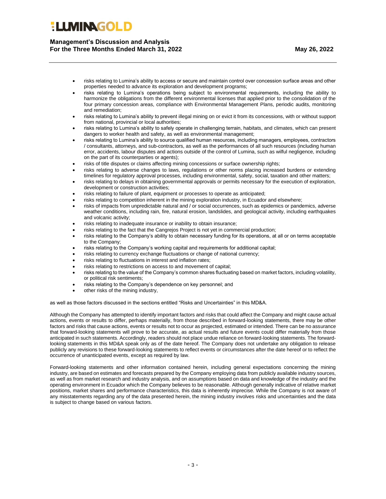**Management's Discussion and Analysis For the Three Months Ended March 31, 2022 May 26, 2022**

- risks relating to Lumina's ability to access or secure and maintain control over concession surface areas and other properties needed to advance its exploration and development programs;
- risks relating to Lumina's operations being subject to environmental requirements, including the ability to harmonize the obligations from the different environmental licenses that applied prior to the consolidation of the four primary concession areas, compliance with Environmental Management Plans, periodic audits, monitoring and remediation;
- risks relating to Lumina's ability to prevent illegal mining on or evict it from its concessions, with or without support from national, provincial or local authorities;
- risks relating to Lumina's ability to safely operate in challenging terrain, habitats, and climates, which can present dangers to worker health and safety, as well as environmental management;
- risks relating to Lumina's ability to source qualified human resources, including managers, employees, contractors / consultants, attorneys, and sub-contractors, as well as the performances of all such resources (including human error, accidents, labour disputes and actions outside of the control of Lumina, such as wilful negligence, including on the part of its counterparties or agents);
- risks of title disputes or claims affecting mining concessions or surface ownership rights;
- risks relating to adverse changes to laws, regulations or other norms placing increased burdens or extending timelines for regulatory approval processes, including environmental, safety, social, taxation and other matters;
- risks relating to delays in obtaining governmental approvals or permits necessary for the execution of exploration, development or construction activities;
- risks relating to failure of plant, equipment or processes to operate as anticipated;
- risks relating to competition inherent in the mining exploration industry, in Ecuador and elsewhere;
- risks of impacts from unpredictable natural and / or social occurrences, such as epidemics or pandemics, adverse weather conditions, including rain, fire, natural erosion, landslides, and geological activity, including earthquakes and volcanic activity;
- risks relating to inadequate insurance or inability to obtain insurance;
- risks relating to the fact that the Cangrejos Project is not yet in commercial production;
- risks relating to the Company's ability to obtain necessary funding for its operations, at all or on terms acceptable to the Company;
- risks relating to the Company's working capital and requirements for additional capital;
- risks relating to currency exchange fluctuations or change of national currency;
- risks relating to fluctuations in interest and inflation rates;
- risks relating to restrictions on access to and movement of capital;
- risks relating to the value of the Company's common shares fluctuating based on market factors, including volatility, or political risk sentiments;
- risks relating to the Company's dependence on key personnel; and
- other risks of the mining industry,

as well as those factors discussed in the sections entitled "Risks and Uncertainties" in this MD&A.

Although the Company has attempted to identify important factors and risks that could affect the Company and might cause actual actions, events or results to differ, perhaps materially, from those described in forward-looking statements, there may be other factors and risks that cause actions, events or results not to occur as projected, estimated or intended. There can be no assurance that forward-looking statements will prove to be accurate, as actual results and future events could differ materially from those anticipated in such statements. Accordingly, readers should not place undue reliance on forward-looking statements. The forwardlooking statements in this MD&A speak only as of the date hereof. The Company does not undertake any obligation to release publicly any revisions to these forward-looking statements to reflect events or circumstances after the date hereof or to reflect the occurrence of unanticipated events, except as required by law.

Forward-looking statements and other information contained herein, including general expectations concerning the mining industry, are based on estimates and forecasts prepared by the Company employing data from publicly available industry sources, as well as from market research and industry analysis, and on assumptions based on data and knowledge of the industry and the operating environment in Ecuador which the Company believes to be reasonable. Although generally indicative of relative market positions, market shares and performance characteristics, this data is inherently imprecise. While the Company is not aware of any misstatements regarding any of the data presented herein, the mining industry involves risks and uncertainties and the data is subject to change based on various factors.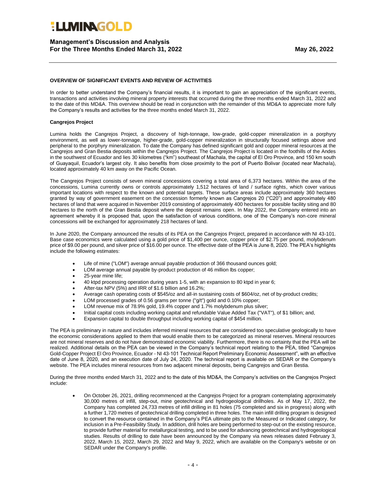### **Management's Discussion and Analysis For the Three Months Ended March 31, 2022 May 26, 2022**

#### **OVERVIEW OF SIGNIFICANT EVENTS AND REVIEW OF ACTIVITIES**

In order to better understand the Company's financial results, it is important to gain an appreciation of the significant events, transactions and activities involving mineral property interests that occurred during the three months ended March 31, 2022 and to the date of this MD&A. This overview should be read in conjunction with the remainder of this MD&A to appreciate more fully the Company's results and activities for the three months ended March 31, 2022.

#### **Cangrejos Project**

Lumina holds the Cangrejos Project, a discovery of high-tonnage, low-grade, gold-copper mineralization in a porphyry environment, as well as lower-tonnage, higher-grade, gold-copper mineralization in structurally focused settings above and peripheral to the porphyry mineralization. To date the Company has defined significant gold and copper mineral resources at the Cangrejos and Gran Bestia deposits within the Cangrejos Project. The Cangrejos Project is located in the foothills of the Andes in the southwest of Ecuador and lies 30 kilometres ("km") southeast of Machala, the capital of El Oro Province, and 150 km south of Guayaquil, Ecuador's largest city. It also benefits from close proximity to the port of Puerto Bolivar (located near Machala), located approximately 40 km away on the Pacific Ocean.

The Cangrejos Project consists of seven mineral concessions covering a total area of 6,373 hectares. Within the area of the concessions, Lumina currently owns or controls approximately 1,512 hectares of land / surface rights, which cover various important locations with respect to the known and potential targets. These surface areas include approximately 360 hectares granted by way of government easement on the concession formerly known as Cangrejos 20 ("C20") and approximately 480 hectares of land that were acquired in November 2019 consisting of approximately 400 hectares for possible facility siting and 80 hectares to the north of the Gran Bestia deposit where the deposit remains open. In May 2022, the Company entered into an agreement whereby it is proposed that, upon the satisfaction of various conditions, one of the Company's non-core mineral concessions will be exchanged for approximately 218 hectares of land.

In June 2020, the Company announced the results of its PEA on the Cangrejos Project, prepared in accordance with NI 43-101. Base case economics were calculated using a gold price of \$1,400 per ounce, copper price of \$2.75 per pound, molybdenum price of \$9.00 per pound, and silver price of \$16.00 per ounce. The effective date of the PEA is June 8, 2020. The PEA's highlights include the following estimates:

- Life of mine ("LOM") average annual payable production of 366 thousand ounces gold;
- LOM average annual payable by-product production of 46 million lbs copper;
- 25-year mine life;
- 40 ktpd processing operation during years 1-5, with an expansion to 80 ktpd in year 6;
- After-tax NPV (5%) and IRR of \$1.6 billion and 16.2%;
- Average cash operating costs of \$545/oz and all-in sustaining costs of \$604/oz, net of by-product credits;
- LOM processed grades of 0.56 grams per tonne ("g/t") gold and 0.10% copper;
- LOM revenue mix of 78.9% gold, 19.4% copper and 1.7% molybdenum plus silver;
- Initial capital costs including working capital and refundable Value Added Tax ("VAT"), of \$1 billion; and,
- Expansion capital to double throughput including working capital of \$454 million.

The PEA is preliminary in nature and includes inferred mineral resources that are considered too speculative geologically to have the economic considerations applied to them that would enable them to be categorized as mineral reserves. Mineral resources are not mineral reserves and do not have demonstrated economic viability. Furthermore, there is no certainty that the PEA will be realized. Additional details on the PEA can be viewed in the Company's technical report relating to the PEA, titled "Cangrejos Gold-Copper Project El Oro Province, Ecuador - NI 43-101 Technical Report Preliminary Economic Assessment", with an effective date of June 8, 2020, and an execution date of July 24, 2020. The technical report is available on SEDAR or the Company's website. The PEA includes mineral resources from two adjacent mineral deposits, being Cangrejos and Gran Bestia.

During the three months ended March 31, 2022 and to the date of this MD&A, the Company's activities on the Cangrejos Project include:

• On October 26, 2021, drilling recommenced at the Cangrejos Project for a program contemplating approximately 30,000 metres of infill, step-out, mine geotechnical and hydrogeological drillholes. As of May 17, 2022, the Company has completed 24,733 metres of infill drilling in 81 holes (75 completed and six in progress) along with a further 1,720 metres of geotechnical drilling completed in three holes. The main infill drilling program is designed to convert the resource contained in the Company's PEA ultimate pits to the Measured or Indicated category, for inclusion in a Pre-Feasibility Study. In addition, drill holes are being performed to step-out on the existing resource, to provide further material for metallurgical testing, and to be used for advancing geotechnical and hydrogeological studies. Results of drilling to date have been announced by the Company via news releases dated February 3, 2022, March 15, 2022, March 29, 2022 and May 9, 2022, which are available on the Company's website or on SEDAR under the Company's profile.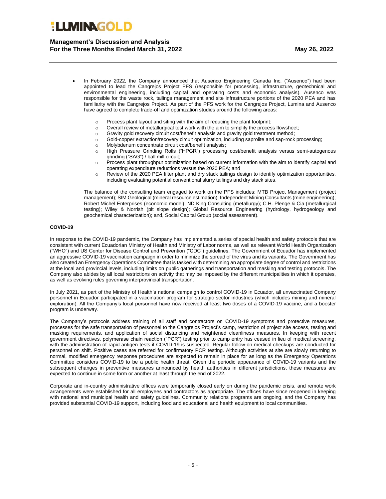### **Management's Discussion and Analysis For the Three Months Ended March 31, 2022 May 26, 2022**

- In February 2022, the Company announced that Ausenco Engineering Canada Inc. ("Ausenco") had been appointed to lead the Cangrejos Project PFS (responsible for processing, infrastructure, geotechnical and environmental engineering, including capital and operating costs and economic analysis). Ausenco was responsible for the waste rock, tailings management and site infrastructure portions of the 2020 PEA and has familiarity with the Cangrejos Project. As part of the PFS work for the Cangrejos Project, Lumina and Ausenco have agreed to complete trade-off and optimization studies around the following areas:
	- o Process plant layout and siting with the aim of reducing the plant footprint;
	- o Overall review of metallurgical test work with the aim to simplify the process flowsheet;
	- $\circ$  Gravity gold recovery circuit cost/benefit analysis and gravity gold treatment method;
	- o Gold-copper extraction/recovery circuit optimization, including saprolite and sap-rock processing;
	- o Molybdenum concentrate circuit cost/benefit analysis;
	- o High Pressure Grinding Rolls ("HPGR") processing cost/benefit analysis versus semi-autogenous grinding ("SAG") / ball mill circuit;
	- $\circ$  Process plant throughput optimization based on current information with the aim to identify capital and operating expenditure reductions versus the 2020 PEA; and
	- o Review of the 2020 PEA filter plant and dry stack tailings design to identify optimization opportunities, including evaluating potential conventional slurry tailings and dry stack sites.

The balance of the consulting team engaged to work on the PFS includes: MTB Project Management (project management); SIM Geological (mineral resource estimation); Independent Mining Consultants (mine engineering); Robert Michel Enterprises (economic model); ND King Consulting (metallurgy); C.H. Plenge & Cia (metallurgical testing); Wiley & Norrish (pit slope design); Global Resource Engineering (hydrology, hydrogeology and geochemical characterization); and, Social Capital Group (social assessment).

#### **COVID-19**

In response to the COVID-19 pandemic, the Company has implemented a series of special health and safety protocols that are consistent with current Ecuadorian Ministry of Health and Ministry of Labor norms, as well as relevant World Health Organization ("WHO") and US Center for Disease Control and Prevention ("CDC") guidelines. The Government of Ecuador has implemented an aggressive COVID-19 vaccination campaign in order to minimize the spread of the virus and its variants. The Government has also created an Emergency Operations Committee that is tasked with determining an appropriate degree of control and restrictions at the local and provincial levels, including limits on public gatherings and transportation and masking and testing protocols. The Company also abides by all local restrictions on activity that may be imposed by the different municipalities in which it operates, as well as evolving rules governing interprovincial transportation.

In July 2021, as part of the Ministry of Health's national campaign to control COVID-19 in Ecuador, all unvaccinated Company personnel in Ecuador participated in a vaccination program for strategic sector industries (which includes mining and mineral exploration). All the Company's local personnel have now received at least two doses of a COVID-19 vaccine, and a booster program is underway.

The Company's protocols address training of all staff and contractors on COVID-19 symptoms and protective measures, processes for the safe transportation of personnel to the Cangrejos Project's camp, restriction of project site access, testing and masking requirements, and application of social distancing and heightened cleanliness measures. In keeping with recent government directives, polymerase chain reaction ("PCR") testing prior to camp entry has ceased in lieu of medical screening, with the administration of rapid antigen tests if COVID-19 is suspected. Regular follow-on medical checkups are conducted for personnel on shift. Positive cases are referred for confirmatory PCR testing. Although activities at site are slowly returning to normal, modified emergency response procedures are expected to remain in place for as long as the Emergency Operations Committee considers COVID-19 to be a public health threat. Given the periodic appearance of COVID-19 variants and the subsequent changes in preventive measures announced by health authorities in different jurisdictions, these measures are expected to continue in some form or another at least through the end of 2022.

Corporate and in-country administrative offices were temporarily closed early on during the pandemic crisis, and remote work arrangements were established for all employees and contractors as appropriate. The offices have since reopened in keeping with national and municipal health and safety guidelines. Community relations programs are ongoing, and the Company has provided substantial COVID-19 support, including food and educational and health equipment to local communities.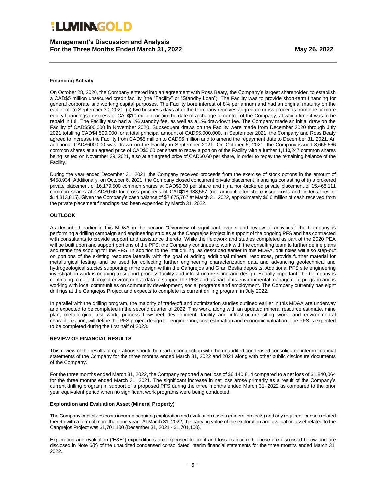**Management's Discussion and Analysis For the Three Months Ended March 31, 2022 May 26, 2022**

#### **Financing Activity**

On October 28, 2020, the Company entered into an agreement with Ross Beaty, the Company's largest shareholder, to establish a CAD\$5 million unsecured credit facility (the "Facility" or "Standby Loan"). The Facility was to provide short-term financing for general corporate and working capital purposes. The Facility bore interest of 8% per annum and had an original maturity on the earlier of: (i) September 30, 2021, (ii) two business days after the Company receives aggregate gross proceeds from one or more equity financings in excess of CAD\$10 million; or (iii) the date of a change of control of the Company, at which time it was to be repaid in full. The Facility also had a 1% standby fee, as well as a 1% drawdown fee. The Company made an initial draw on the Facility of CAD\$500,000 in November 2020. Subsequent draws on the Facility were made from December 2020 through July 2021 totalling CAD\$4,500,000 for a total principal amount of CAD\$5,000,000. In September 2021, the Company and Ross Beaty agreed to increase the Facility from CAD\$5 million to CAD\$6 million and to amend the repayment date to December 31, 2021. An additional CAD\$600,000 was drawn on the Facility in September 2021. On October 6, 2021, the Company issued 8,666,666 common shares at an agreed price of CAD\$0.60 per share to repay a portion of the Facility with a further 1,110,247 common shares being issued on November 29, 2021, also at an agreed price of CAD\$0.60 per share, in order to repay the remaining balance of the Facility.

During the year ended December 31, 2021, the Company received proceeds from the exercise of stock options in the amount of \$458,934. Additionally, on October 6, 2021, the Company closed concurrent private placement financings consisting of (i) a brokered private placement of 16,179,500 common shares at CAD\$0.60 per share and (ii) a non-brokered private placement of 15,468,111 common shares at CAD\$0.60 for gross proceeds of CAD\$18,988,567 (net amount after share issue costs and finder's fees of \$14,313,815). Given the Company's cash balance of \$7,675,767 at March 31, 2022, approximately \$6.6 million of cash received from the private placement financings had been expended by March 31, 2022.

#### **OUTLOOK**

As described earlier in this MD&A in the section "Overview of significant events and review of activities," the Company is performing a drilling campaign and engineering studies at the Cangrejos Project in support of the ongoing PFS and has contracted with consultants to provide support and assistance thereto. While the fieldwork and studies completed as part of the 2020 PEA will be built upon and support portions of the PFS, the Company continues to work with the consulting team to further define plans and refine the scoping for the PFS. In addition to the infill drilling, as described earlier in this MD&A, drill holes will also step-out on portions of the existing resource laterally with the goal of adding additional mineral resources, provide further material for metallurgical testing, and be used for collecting further engineering characterization data and advancing geotechnical and hydrogeological studies supporting mine design within the Cangrejos and Gran Bestia deposits. Additional PFS site engineering investigation work is ongoing to support process facility and infrastructure siting and design. Equally important, the Company is continuing to collect project environmental data to support the PFS and as part of its environmental management program and is working with local communities on community development, social programs and employment. The Company currently has eight drill rigs at the Cangrejos Project and expects to complete its current drilling program in July 2022.

In parallel with the drilling program, the majority of trade-off and optimization studies outlined earlier in this MD&A are underway and expected to be completed in the second quarter of 2022. This work, along with an updated mineral resource estimate, mine plan, metallurgical test work, process flowsheet development, facility and infrastructure siting work, and environmental characterization, will define the PFS project design for engineering, cost estimation and economic valuation. The PFS is expected to be completed during the first half of 2023.

#### **REVIEW OF FINANCIAL RESULTS**

This review of the results of operations should be read in conjunction with the unaudited condensed consolidated interim financial statements of the Company for the three months ended March 31, 2022 and 2021 along with other public disclosure documents of the Company.

For the three months ended March 31, 2022, the Company reported a net loss of \$6,140,814 compared to a net loss of \$1,840,064 for the three months ended March 31, 2021. The significant increase in net loss arose primarily as a result of the Company's current drilling program in support of a proposed PFS during the three months ended March 31, 2022 as compared to the prior year equivalent period when no significant work programs were being conducted.

#### **Exploration and Evaluation Asset (Mineral Property)**

The Company capitalizes costs incurred acquiring exploration and evaluation assets (mineral projects) and any required licenses related thereto with a term of more than one year. At March 31, 2022, the carrying value of the exploration and evaluation asset related to the Cangrejos Project was \$1,701,100 (December 31, 2021 - \$1,701,100).

Exploration and evaluation ("E&E") expenditures are expensed to profit and loss as incurred. These are discussed below and are disclosed in Note 6(b) of the unaudited condensed consolidated interim financial statements for the three months ended March 31, 2022.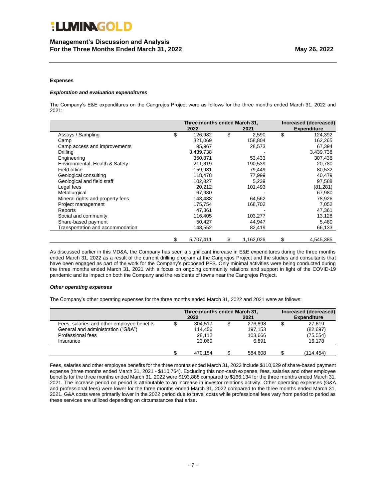#### **Expenses**

#### *Exploration and evaluation expenditures*

The Company's E&E expenditures on the Cangrejos Project were as follows for the three months ended March 31, 2022 and 2021:

|                                  | Three months ended March 31, |    |           | Increased (decreased) |                    |
|----------------------------------|------------------------------|----|-----------|-----------------------|--------------------|
|                                  | 2022                         |    | 2021      |                       | <b>Expenditure</b> |
| Assays / Sampling                | \$<br>126,982                | \$ | 2,590     | \$                    | 124,392            |
| Camp                             | 321,069                      |    | 158,804   |                       | 162,265            |
| Camp access and improvements     | 95,967                       |    | 28,573    |                       | 67,394             |
| Drilling                         | 3,439,738                    |    |           |                       | 3,439,738          |
| Engineering                      | 360,871                      |    | 53,433    |                       | 307,438            |
| Environmental, Health & Safety   | 211,319                      |    | 190,539   |                       | 20,780             |
| Field office                     | 159,981                      |    | 79,449    |                       | 80,532             |
| Geological consulting            | 118,478                      |    | 77,999    |                       | 40,479             |
| Geological and field staff       | 102,827                      |    | 5,239     |                       | 97,588             |
| Legal fees                       | 20,212                       |    | 101,493   |                       | (81, 281)          |
| Metallurgical                    | 67,980                       |    |           |                       | 67,980             |
| Mineral rights and property fees | 143,488                      |    | 64,562    |                       | 78,926             |
| Project management               | 175,754                      |    | 168,702   |                       | 7,052              |
| Reports                          | 47,361                       |    |           |                       | 47,361             |
| Social and community             | 116,405                      |    | 103,277   |                       | 13,128             |
| Share-based payment              | 50,427                       |    | 44,947    |                       | 5,480              |
| Transportation and accommodation | 148,552                      |    | 82,419    |                       | 66,133             |
|                                  | \$<br>5,707,411              | \$ | 1,162,026 | \$                    | 4,545,385          |

As discussed earlier in this MD&A, the Company has seen a significant increase in E&E expenditures during the three months ended March 31, 2022 as a result of the current drilling program at the Cangrejos Project and the studies and consultants that have been engaged as part of the work for the Company's proposed PFS. Only minimal activities were being conducted during the three months ended March 31, 2021 with a focus on ongoing community relations and support in light of the COVID-19 pandemic and its impact on both the Company and the residents of towns near the Cangrejos Project.

#### *Other operating expenses*

The Company's other operating expenses for the three months ended March 31, 2022 and 2021 were as follows:

|                                            | Three months ended March 31,<br>2022 | 2021    | Increased (decreased)<br><b>Expenditure</b> |           |
|--------------------------------------------|--------------------------------------|---------|---------------------------------------------|-----------|
| Fees, salaries and other employee benefits | 304.517                              | 276.898 |                                             | 27.619    |
| General and administration ("G&A")         | 114.456                              | 197.153 |                                             | (82, 697) |
| Professional fees                          | 28,112                               | 103,666 |                                             | (75, 554) |
| Insurance                                  | 23.069                               | 6.891   |                                             | 16.178    |
|                                            |                                      |         |                                             |           |
|                                            | 470.154                              | 584.608 |                                             | (114.454) |

Fees, salaries and other employee benefits for the three months ended March 31, 2022 include \$110,629 of share-based payment expense (three months ended March 31, 2021 - \$110,764). Excluding this non-cash expense, fees, salaries and other employee benefits for the three months ended March 31, 2022 were \$193,888 compared to \$166,134 for the three months ended March 31, 2021. The increase period on period is attributable to an increase in investor relations activity. Other operating expenses (G&A and professional fees) were lower for the three months ended March 31, 2022 compared to the three months ended March 31, 2021. G&A costs were primarily lower in the 2022 period due to travel costs while professional fees vary from period to period as these services are utilized depending on circumstances that arise.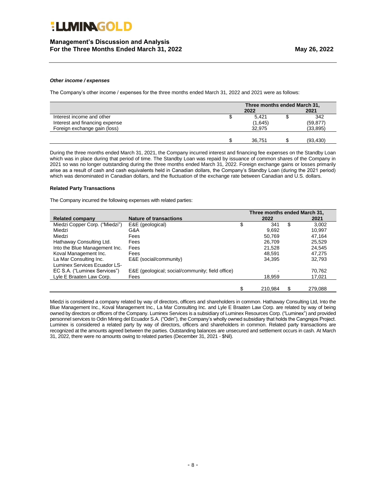### **Management's Discussion and Analysis For the Three Months Ended March 31, 2022 May 26, 2022**

#### *Other income / expenses*

The Company's other income / expenses for the three months ended March 31, 2022 and 2021 were as follows:

|                                | Three months ended March 31, |         |  |           |  |
|--------------------------------|------------------------------|---------|--|-----------|--|
|                                | 2022                         |         |  | 2021      |  |
| Interest income and other      |                              | 5.421   |  | 342       |  |
| Interest and financing expense |                              | (1,645) |  | (59, 877) |  |
| Foreign exchange gain (loss)   |                              | 32.975  |  | (33, 895) |  |
|                                |                              |         |  |           |  |
|                                |                              | 36,751  |  | (93, 430) |  |

During the three months ended March 31, 2021, the Company incurred interest and financing fee expenses on the Standby Loan which was in place during that period of time. The Standby Loan was repaid by issuance of common shares of the Company in 2021 so was no longer outstanding during the three months ended March 31, 2022. Foreign exchange gains or losses primarily arise as a result of cash and cash equivalents held in Canadian dollars, the Company's Standby Loan (during the 2021 period) which was denominated in Canadian dollars, and the fluctuation of the exchange rate between Canadian and U.S. dollars.

#### **Related Party Transactions**

The Company incurred the following expenses with related parties:

|                                |                                                  | Three months ended March 31, |    |         |
|--------------------------------|--------------------------------------------------|------------------------------|----|---------|
| <b>Related company</b>         | <b>Nature of transactions</b>                    | 2022                         |    | 2021    |
| Miedzi Copper Corp. ("Miedzi") | E&E (geological)                                 | \$<br>341                    | \$ | 3.002   |
| Miedzi                         | G&A                                              | 9.692                        |    | 10.997  |
| Miedzi                         | Fees                                             | 50.769                       |    | 47,164  |
| Hathaway Consulting Ltd.       | Fees                                             | 26,709                       |    | 25,529  |
| Into the Blue Management Inc.  | Fees                                             | 21.528                       |    | 24,545  |
| Koval Management Inc.          | Fees                                             | 48.591                       |    | 47.275  |
| La Mar Consulting Inc.         | E&E (social/community)                           | 34,395                       |    | 32,793  |
| Luminex Services Ecuador LS-   |                                                  |                              |    |         |
| EC S.A. ("Luminex Services")   | E&E (geological; social/community; field office) |                              |    | 70,762  |
| Lyle E Braaten Law Corp.       | Fees                                             | 18,959                       |    | 17,021  |
|                                |                                                  |                              |    |         |
|                                |                                                  | \$<br>210.984                | S  | 279.088 |

Miedzi is considered a company related by way of directors, officers and shareholders in common. Hathaway Consulting Ltd, Into the Blue Management Inc., Koval Management Inc., La Mar Consulting Inc. and Lyle E Braaten Law Corp. are related by way of being owned by directors or officers of the Company. Luminex Services is a subsidiary of Luminex Resources Corp. ("Luminex") and provided personnel services to Odin Mining del Ecuador S.A. ("Odin"), the Company's wholly owned subsidiary that holds the Cangrejos Project. Luminex is considered a related party by way of directors, officers and shareholders in common. Related party transactions are recognized at the amounts agreed between the parties. Outstanding balances are unsecured and settlement occurs in cash. At March 31, 2022, there were no amounts owing to related parties (December 31, 2021 - \$Nil).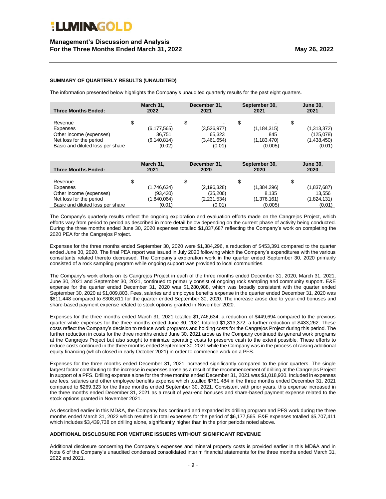### **SUMMARY OF QUARTERLY RESULTS (UNAUDITED)**

The information presented below highlights the Company's unaudited quarterly results for the past eight quarters.

| <b>Three Months Ended:</b>       | March 31,<br>2022 | December 31,<br>2021 | September 30,<br>2021 | <b>June 30,</b><br>2021 |  |
|----------------------------------|-------------------|----------------------|-----------------------|-------------------------|--|
| Revenue                          | -                 | ٠                    |                       |                         |  |
| Expenses                         | (6, 177, 565)     | (3,526,977)          | (1, 184, 315)         | (1,313,372)             |  |
| Other income (expenses)          | 36.751            | 65.323               | 845                   | (125,078)               |  |
| Net loss for the period          | (6, 140, 814)     | (3,461,654)          | (1, 183, 470)         | (1,438,450)             |  |
| Basic and diluted loss per share | (0.02)            | (0.01)               | (0.005)               | (0.01)                  |  |

| <b>Three Months Ended:</b>       | March 31,<br>2021 | December 31,<br>2020 | September 30,<br>2020 | <b>June 30,</b><br>2020 |  |
|----------------------------------|-------------------|----------------------|-----------------------|-------------------------|--|
| Revenue                          | -                 | -                    |                       |                         |  |
| Expenses                         | (1,746,634)       | (2, 196, 328)        | (1,384,296)           | (1,837,687)             |  |
| Other income (expenses)          | (93, 430)         | (35, 206)            | 8,135                 | 13,556                  |  |
| Net loss for the period          | (1,840,064)       | (2,231,534)          | (1,376,161)           | (1,824,131)             |  |
| Basic and diluted loss per share | (0.01)            | (0.01)               | (0.005)               | (0.01)                  |  |

The Company's quarterly results reflect the ongoing exploration and evaluation efforts made on the Cangrejos Project, which efforts vary from period to period as described in more detail below depending on the current phase of activity being conducted. During the three months ended June 30, 2020 expenses totalled \$1,837,687 reflecting the Company's work on completing the 2020 PEA for the Cangrejos Project.

Expenses for the three months ended September 30, 2020 were \$1,384,296, a reduction of \$453,391 compared to the quarter ended June 30, 2020. The final PEA report was issued in July 2020 following which the Company's expenditures with the various consultants related thereto decreased. The Company's exploration work in the quarter ended September 30, 2020 primarily consisted of a rock sampling program while ongoing support was provided to local communities.

The Company's work efforts on its Cangrejos Project in each of the three months ended December 31, 2020, March 31, 2021, June 30, 2021 and September 30, 2021, continued to primarily consist of ongoing rock sampling and community support. E&E expense for the quarter ended December 31, 2020 was \$1,280,988, which was broadly consistent with the quarter ended September 30, 2020 at \$1,009,803. Fees, salaries and employee benefits expense in the quarter ended December 31, 2020 was \$811,448 compared to \$308,611 for the quarter ended September 30, 2020. The increase arose due to year-end bonuses and share-based payment expense related to stock options granted in November 2020.

Expenses for the three months ended March 31, 2021 totalled \$1,746,634, a reduction of \$449,694 compared to the previous quarter while expenses for the three months ended June 30, 2021 totalled \$1,313,372, a further reduction of \$433,262. These costs reflect the Company's decision to reduce work programs and holding costs for the Cangrejos Project during this period. The further reduction in costs for the three months ended June 30, 2021 arose as the Company continued its general work programs at the Cangrejos Project but also sought to minimize operating costs to preserve cash to the extent possible. These efforts to reduce costs continued in the three months ended September 30, 2021 while the Company was in the process of raising additional equity financing (which closed in early October 2021) in order to commence work on a PFS.

Expenses for the three months ended December 31, 2021 increased significantly compared to the prior quarters. The single largest factor contributing to the increase in expenses arose as a result of the recommencement of drilling at the Cangrejos Project in support of a PFS. Drilling expense alone for the three months ended December 31, 2021 was \$1,018,930. Included in expenses are fees, salaries and other employee benefits expense which totalled \$761,484 in the three months ended December 31, 2021 compared to \$269,323 for the three months ended September 30, 2021. Consistent with prior years, this expense increased in the three months ended December 31, 2021 as a result of year-end bonuses and share-based payment expense related to the stock options granted in November 2021.

As described earlier in this MD&A, the Company has continued and expanded its drilling program and PFS work during the three months ended March 31, 2022 which resulted in total expenses for the period of \$6,177,565. E&E expenses totalled \$5,707,411 which includes \$3,439,738 on drilling alone, significantly higher than in the prior periods noted above.

#### **ADDITIONAL DISCLOSURE FOR VENTURE ISSUERS WITHOUT SIGNIFICANT REVENUE**

Additional disclosure concerning the Company's expenses and mineral property costs is provided earlier in this MD&A and in Note 6 of the Company's unaudited condensed consolidated interim financial statements for the three months ended March 31, 2022 and 2021.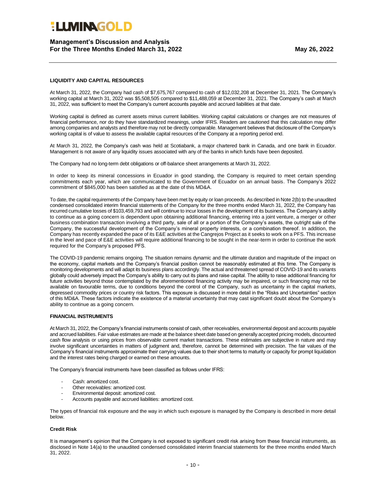### **Management's Discussion and Analysis For the Three Months Ended March 31, 2022 May 26, 2022**

#### **LIQUIDITY AND CAPITAL RESOURCES**

At March 31, 2022, the Company had cash of \$7,675,767 compared to cash of \$12,032,208 at December 31, 2021. The Company's working capital at March 31, 2022 was \$5,508,505 compared to \$11,488,059 at December 31, 2021. The Company's cash at March 31, 2022, was sufficient to meet the Company's current accounts payable and accrued liabilities at that date.

Working capital is defined as current assets minus current liabilities. Working capital calculations or changes are not measures of financial performance, nor do they have standardized meanings, under IFRS. Readers are cautioned that this calculation may differ among companies and analysts and therefore may not be directly comparable. Management believes that disclosure of the Company's working capital is of value to assess the available capital resources of the Company at a reporting period end.

At March 31, 2022, the Company's cash was held at Scotiabank, a major chartered bank in Canada, and one bank in Ecuador. Management is not aware of any liquidity issues associated with any of the banks in which funds have been deposited.

The Company had no long-term debt obligations or off-balance sheet arrangements at March 31, 2022.

In order to keep its mineral concessions in Ecuador in good standing, the Company is required to meet certain spending commitments each year, which are communicated to the Government of Ecuador on an annual basis. The Company's 2022 commitment of \$845,000 has been satisfied as at the date of this MD&A.

To date, the capital requirements of the Company have been met by equity or loan proceeds. As described in Note 2(b) to the unaudited condensed consolidated interim financial statements of the Company for the three months ended March 31, 2022, the Company has incurred cumulative losses of \$103,459,793 and will continue to incur losses in the development of its business. The Company's ability to continue as a going concern is dependent upon obtaining additional financing, entering into a joint venture, a merger or other business combination transaction involving a third party, sale of all or a portion of the Company's assets, the outright sale of the Company, the successful development of the Company's mineral property interests, or a combination thereof. In addition, the Company has recently expanded the pace of its E&E activities at the Cangrejos Project as it seeks to work on a PFS. This increase in the level and pace of E&E activities will require additional financing to be sought in the near-term in order to continue the work required for the Company's proposed PFS.

The COVID-19 pandemic remains ongoing. The situation remains dynamic and the ultimate duration and magnitude of the impact on the economy, capital markets and the Company's financial position cannot be reasonably estimated at this time. The Company is monitoring developments and will adapt its business plans accordingly. The actual and threatened spread of COVID-19 and its variants globally could adversely impact the Company's ability to carry out its plans and raise capital. The ability to raise additional financing for future activities beyond those contemplated by the aforementioned financing activity may be impaired, or such financing may not be available on favourable terms, due to conditions beyond the control of the Company, such as uncertainty in the capital markets, depressed commodity prices or country risk factors. This exposure is discussed in more detail in the "Risks and Uncertainties" section of this MD&A. These factors indicate the existence of a material uncertainty that may cast significant doubt about the Company's ability to continue as a going concern.

#### **FINANCIAL INSTRUMENTS**

At March 31, 2022, the Company's financial instruments consist of cash, other receivables, environmental deposit and accounts payable and accrued liabilities. Fair value estimates are made at the balance sheet date based on generally accepted pricing models, discounted cash flow analysis or using prices from observable current market transactions. These estimates are subjective in nature and may involve significant uncertainties in matters of judgment and, therefore, cannot be determined with precision. The fair values of the Company's financial instruments approximate their carrying values due to their short terms to maturity or capacity for prompt liquidation and the interest rates being charged or earned on these amounts.

The Company's financial instruments have been classified as follows under IFRS:

- Cash: amortized cost.
- Other receivables: amortized cost.
- Environmental deposit: amortized cost.
- Accounts payable and accrued liabilities: amortized cost.

The types of financial risk exposure and the way in which such exposure is managed by the Company is described in more detail below.

#### **Credit Risk**

It is management's opinion that the Company is not exposed to significant credit risk arising from these financial instruments, as disclosed in Note 14(a) to the unaudited condensed consolidated interim financial statements for the three months ended March 31, 2022.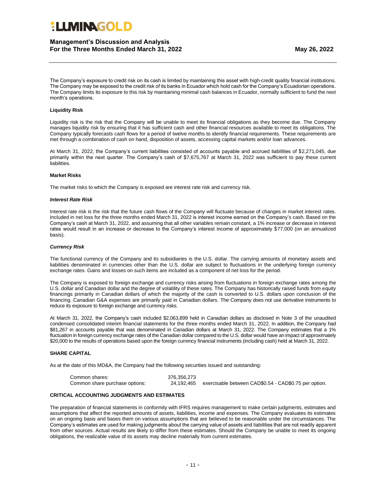### **ELIMINAGOL P**

### **Management's Discussion and Analysis For the Three Months Ended March 31, 2022 May 26, 2022**

The Company's exposure to credit risk on its cash is limited by maintaining this asset with high-credit quality financial institutions. The Company may be exposed to the credit risk of its banks in Ecuador which hold cash for the Company's Ecuadorian operations. The Company limits its exposure to this risk by maintaining minimal cash balances in Ecuador, normally sufficient to fund the next month's operations.

#### **Liquidity Risk**

Liquidity risk is the risk that the Company will be unable to meet its financial obligations as they become due. The Company manages liquidity risk by ensuring that it has sufficient cash and other financial resources available to meet its obligations. The Company typically forecasts cash flows for a period of twelve months to identify financial requirements. These requirements are met through a combination of cash on hand, disposition of assets, accessing capital markets and/or loan advances.

At March 31, 2022, the Company's current liabilities consisted of accounts payable and accrued liabilities of \$2,271,045, due primarily within the next quarter. The Company's cash of \$7,675,767 at March 31, 2022 was sufficient to pay these current liabilities.

#### **Market Risks**

The market risks to which the Company is exposed are interest rate risk and currency risk.

#### *Interest Rate Risk*

Interest rate risk is the risk that the future cash flows of the Company will fluctuate because of changes in market interest rates. Included in net loss for the three months ended March 31, 2022 is interest income earned on the Company's cash. Based on the Company's cash at March 31, 2022, and assuming that all other variables remain constant, a 1% increase or decrease in interest rates would result in an increase or decrease to the Company's interest income of approximately \$77,000 (on an annualized basis).

#### *Currency Risk*

The functional currency of the Company and its subsidiaries is the U.S. dollar. The carrying amounts of monetary assets and liabilities denominated in currencies other than the U.S. dollar are subject to fluctuations in the underlying foreign currency exchange rates. Gains and losses on such items are included as a component of net loss for the period.

The Company is exposed to foreign exchange and currency risks arising from fluctuations in foreign exchange rates among the U.S. dollar and Canadian dollar and the degree of volatility of these rates. The Company has historically raised funds from equity financings primarily in Canadian dollars of which the majority of the cash is converted to U.S. dollars upon conclusion of the financing. Canadian G&A expenses are primarily paid in Canadian dollars. The Company does not use derivative instruments to reduce its exposure to foreign exchange and currency risks.

At March 31, 2022, the Company's cash included \$2,063,899 held in Canadian dollars as disclosed in Note 3 of the unaudited condensed consolidated interim financial statements for the three months ended March 31, 2022. In addition, the Company had \$81,267 in accounts payable that was denominated in Canadian dollars at March 31, 2022. The Company estimates that a 1% fluctuation in foreign currency exchange rates of the Canadian dollar compared to the U.S. dollar would have an impact of approximately \$20,000 to the results of operations based upon the foreign currency financial instruments (including cash) held at March 31, 2022.

#### **SHARE CAPITAL**

As at the date of this MD&A, the Company had the following securities issued and outstanding:

| Common shares:                 | 376.356.273 |                                                       |
|--------------------------------|-------------|-------------------------------------------------------|
| Common share purchase options: | 24.192.465  | exercisable between CAD\$0.54 - CAD\$0.75 per option. |

### **CRITICAL ACCOUNTING JUDGMENTS AND ESTIMATES**

The preparation of financial statements in conformity with IFRS requires management to make certain judgments, estimates and assumptions that affect the reported amounts of assets, liabilities, income and expenses. The Company evaluates its estimates on an ongoing basis and bases them on various assumptions that are believed to be reasonable under the circumstances. The Company's estimates are used for making judgments about the carrying value of assets and liabilities that are not readily apparent from other sources. Actual results are likely to differ from these estimates. Should the Company be unable to meet its ongoing obligations, the realizable value of its assets may decline materially from current estimates.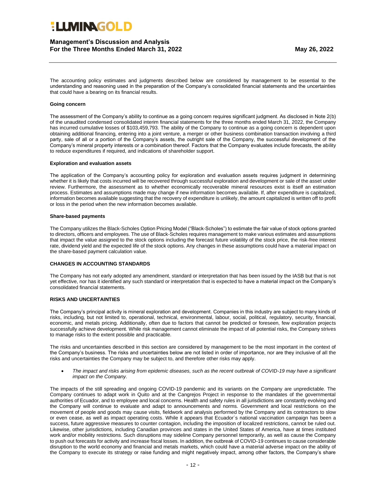### **Management's Discussion and Analysis For the Three Months Ended March 31, 2022 May 26, 2022**

The accounting policy estimates and judgments described below are considered by management to be essential to the understanding and reasoning used in the preparation of the Company's consolidated financial statements and the uncertainties that could have a bearing on its financial results.

#### **Going concern**

The assessment of the Company's ability to continue as a going concern requires significant judgment. As disclosed in Note 2(b) of the unaudited condensed consolidated interim financial statements for the three months ended March 31, 2022, the Company has incurred cumulative losses of \$103,459,793. The ability of the Company to continue as a going concern is dependent upon obtaining additional financing, entering into a joint venture, a merger or other business combination transaction involving a third party, sale of all or a portion of the Company's assets, the outright sale of the Company, the successful development of the Company's mineral property interests or a combination thereof. Factors that the Company evaluates include forecasts, the ability to reduce expenditures if required, and indications of shareholder support.

#### **Exploration and evaluation assets**

The application of the Company's accounting policy for exploration and evaluation assets requires judgment in determining whether it is likely that costs incurred will be recovered through successful exploration and development or sale of the asset under review. Furthermore, the assessment as to whether economically recoverable mineral resources exist is itself an estimation process. Estimates and assumptions made may change if new information becomes available. If, after expenditure is capitalized, information becomes available suggesting that the recovery of expenditure is unlikely, the amount capitalized is written off to profit or loss in the period when the new information becomes available.

#### **Share-based payments**

The Company utilizes the Black-Scholes Option Pricing Model ("Black-Scholes") to estimate the fair value of stock options granted to directors, officers and employees. The use of Black-Scholes requires management to make various estimates and assumptions that impact the value assigned to the stock options including the forecast future volatility of the stock price, the risk-free interest rate, dividend yield and the expected life of the stock options. Any changes in these assumptions could have a material impact on the share-based payment calculation value.

#### **CHANGES IN ACCOUNTING STANDARDS**

The Company has not early adopted any amendment, standard or interpretation that has been issued by the IASB but that is not yet effective, nor has it identified any such standard or interpretation that is expected to have a material impact on the Company's consolidated financial statements.

#### **RISKS AND UNCERTAINTIES**

The Company's principal activity is mineral exploration and development. Companies in this industry are subject to many kinds of risks, including, but not limited to, operational, technical, environmental, labour, social, political, regulatory, security, financial, economic, and metals pricing. Additionally, often due to factors that cannot be predicted or foreseen, few exploration projects successfully achieve development. While risk management cannot eliminate the impact of all potential risks, the Company strives to manage risks to the extent possible and practicable.

The risks and uncertainties described in this section are considered by management to be the most important in the context of the Company's business. The risks and uncertainties below are not listed in order of importance, nor are they inclusive of all the risks and uncertainties the Company may be subject to, and therefore other risks may apply.

• *The impact and risks arising from epidemic diseases, such as the recent outbreak of COVID-19 may have a significant impact on the Company.*

The impacts of the still spreading and ongoing COVID-19 pandemic and its variants on the Company are unpredictable. The Company continues to adapt work in Quito and at the Cangrejos Project in response to the mandates of the governmental authorities of Ecuador, and to employee and local concerns. Health and safety rules in all jurisdictions are constantly evolving and the Company will continue to evaluate and adapt to announcements and norms. Government and local restrictions on the movement of people and goods may cause visits, fieldwork and analysis performed by the Company and its contractors to slow or even cease, as well as impact operating costs. While it appears that Ecuador´s national vaccination campaign has been a success, future aggressive measures to counter contagion, including the imposition of localized restrictions, cannot be ruled out. Likewise, other jurisdictions, including Canadian provinces and states in the United States of America, have at times instituted work and/or mobility restrictions. Such disruptions may sideline Company personnel temporarily, as well as cause the Company to push out forecasts for activity and increase fiscal losses. In addition, the outbreak of COVID-19 continues to cause considerable disruption to the world economy and financial and metals markets, which could have a material adverse impact on the ability of the Company to execute its strategy or raise funding and might negatively impact, among other factors, the Company's share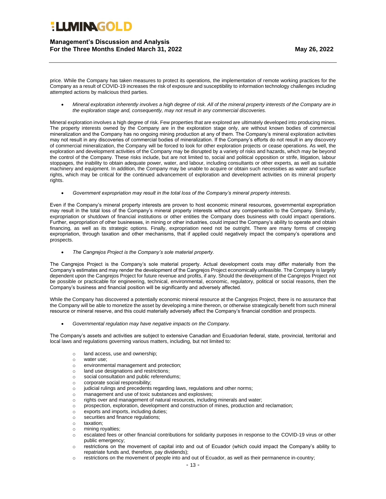**Management's Discussion and Analysis For the Three Months Ended March 31, 2022 May 26, 2022**

price. While the Company has taken measures to protect its operations, the implementation of remote working practices for the Company as a result of COVID-19 increases the risk of exposure and susceptibility to information technology challenges including attempted actions by malicious third parties.

• *Mineral exploration inherently involves a high degree of risk. All of the mineral property interests of the Company are in the exploration stage and, consequently, may not result in any commercial discoveries.*

Mineral exploration involves a high degree of risk. Few properties that are explored are ultimately developed into producing mines. The property interests owned by the Company are in the exploration stage only, are without known bodies of commercial mineralization and the Company has no ongoing mining production at any of them. The Company's mineral exploration activities may not result in any discoveries of commercial bodies of mineralization. If the Company's efforts do not result in any discovery of commercial mineralization, the Company will be forced to look for other exploration projects or cease operations. As well, the exploration and development activities of the Company may be disrupted by a variety of risks and hazards, which may be beyond the control of the Company. These risks include, but are not limited to, social and political opposition or strife, litigation, labour stoppages, the inability to obtain adequate power, water, and labour, including consultants or other experts, as well as suitable machinery and equipment. In addition, the Company may be unable to acquire or obtain such necessities as water and surface rights, which may be critical for the continued advancement of exploration and development activities on its mineral property rights.

• *Government expropriation may result in the total loss of the Company's mineral property interests.*

Even if the Company's mineral property interests are proven to host economic mineral resources, governmental expropriation may result in the total loss of the Company's mineral property interests without any compensation to the Company. Similarly, expropriation or shutdown of financial institutions or other entities the Company does business with could impact operations. Further, expropriation of other businesses, in mining or other industries, could impact the Company's ability to operate and obtain financing, as well as its strategic options. Finally, expropriation need not be outright. There are many forms of creeping expropriation, through taxation and other mechanisms, that if applied could negatively impact the company's operations and prospects.

• *The Cangrejos Project is the Company's sole material property.*

The Cangrejos Project is the Company's sole material property. Actual development costs may differ materially from the Company's estimates and may render the development of the Cangrejos Project economically unfeasible. The Company is largely dependent upon the Cangrejos Project for future revenue and profits, if any. Should the development of the Cangrejos Project not be possible or practicable for engineering, technical, environmental, economic, regulatory, political or social reasons, then the Company's business and financial position will be significantly and adversely affected.

While the Company has discovered a potentially economic mineral resource at the Cangrejos Project, there is no assurance that the Company will be able to monetize the asset by developing a mine thereon, or otherwise strategically benefit from such mineral resource or mineral reserve, and this could materially adversely affect the Company's financial condition and prospects.

• *Governmental regulation may have negative impacts on the Company.*

The Company's assets and activities are subject to extensive Canadian and Ecuadorian federal, state, provincial, territorial and local laws and regulations governing various matters, including, but not limited to:

- o land access, use and ownership;
- o water use;
- o environmental management and protection;
- o land use designations and restrictions;
- o social consultation and public referendums;
- o corporate social responsibility;
- o judicial rulings and precedents regarding laws, regulations and other norms;
- o management and use of toxic substances and explosives;
- o rights over and management of natural resources, including minerals and water;
- o prospection, exploration, development and construction of mines, production and reclamation;
- o exports and imports, including duties;
- o securities and finance regulations;
- o taxation;
- o mining royalties;
- o escalated fees or other financial contributions for solidarity purposes in response to the COVID-19 virus or other public emergency;
- o restrictions on the movement of capital into and out of Ecuador (which could impact the Company's ability to repatriate funds and, therefore, pay dividends);
- o restrictions on the movement of people into and out of Ecuador, as well as their permanence in-country;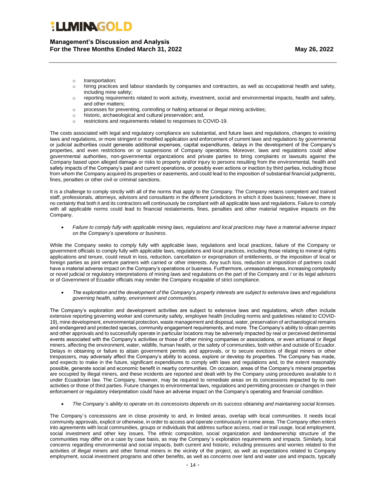**Management's Discussion and Analysis For the Three Months Ended March 31, 2022 May 26, 2022**

- o transportation;
- o hiring practices and labour standards by companies and contractors, as well as occupational health and safety, including mine safety;
- o reporting requirements related to work activity, investment, social and environmental impacts, health and safety, and other matters;
- o processes for preventing, controlling or halting artisanal or illegal mining activities;
- o historic, archaeological and cultural preservation; and,
- o restrictions and requirements related to responses to COVID-19.

The costs associated with legal and regulatory compliance are substantial, and future laws and regulations, changes to existing laws and regulations, or more stringent or modified application and enforcement of current laws and regulations by governmental or judicial authorities could generate additional expenses, capital expenditures, delays in the development of the Company's properties, and even restrictions on or suspensions of Company operations. Moreover, laws and regulations could allow governmental authorities, non-governmental organizations and private parties to bring complaints or lawsuits against the Company based upon alleged damage or risks to property and/or injury to persons resulting from the environmental, health and safety impacts of the Company's past and current operations, or possibly even actions or inaction by third parties, including those from whom the Company acquired its properties or easements, and could lead to the imposition of substantial financial judgments, fines, penalties or other civil or criminal sanctions.

It is a challenge to comply strictly with all of the norms that apply to the Company. The Company retains competent and trained staff, professionals, attorneys, advisors and consultants in the different jurisdictions in which it does business; however, there is no certainty that both it and its contractors will continuously be compliant with all applicable laws and regulations. Failure to comply with all applicable norms could lead to financial restatements, fines, penalties and other material negative impacts on the Company.

• *Failure to comply fully with applicable mining laws, regulations and local practices may have a material adverse impact on the Company's operations or business.*

While the Company seeks to comply fully with applicable laws, regulations and local practices, failure of the Company or government officials to comply fully with applicable laws, regulations and local practices, including those relating to mineral rights applications and tenure, could result in loss, reduction, cancellation or expropriation of entitlements, or the imposition of local or foreign parties as joint venture partners with carried or other interests. Any such loss, reduction or imposition of partners could have a material adverse impact on the Company's operations or business. Furthermore, unreasonableness, increasing complexity or novel judicial or regulatory interpretations of mining laws and regulations on the part of the Company and / or its legal advisors or of Government of Ecuador officials may render the Company incapable of strict compliance.

• *The exploration and the development of the Company's property interests are subject to extensive laws and regulations governing health, safety, environment and communities.*

The Company's exploration and development activities are subject to extensive laws and regulations, which often include extensive reporting governing worker and community safety, employee health (including norms and guidelines related to COVID-19), mine development, environmental protection, waste management and disposal, water, preservation of archaeological remains and endangered and protected species, community engagement requirements, and more. The Company's ability to obtain permits and other approvals and to successfully operate in particular locations may be adversely impacted by real or perceived detrimental events associated with the Company's activities or those of other mining companies or associations, or even artisanal or illegal miners, affecting the environment, water, wildlife, human health, or the safety of communities, both within and outside of Ecuador. Delays in obtaining or failure to attain government permits and approvals, or to secure evictions of illegal miners or other trespassers, may adversely affect the Company's ability to access, explore or develop its properties. The Company has made, and expects to make in the future, significant expenditures to comply with laws and regulations and, to the extent reasonably possible, generate social and economic benefit in nearby communities. On occasion, areas of the Company's mineral properties are occupied by illegal miners, and these incidents are reported and dealt with by the Company using procedures available to it under Ecuadorian law. The Company, however, may be required to remediate areas on its concessions impacted by its own activities or those of third parties. Future changes to environmental laws, regulations and permitting processes or changes in their enforcement or regulatory interpretation could have an adverse impact on the Company's operating and financial condition.

• *The Company´s ability to operate on its concessions depends on its success obtaining and maintaining social licenses.*

The Company´s concessions are in close proximity to and, in limited areas, overlap with local communities. It needs local community approvals, explicit or otherwise, in order to access and operate continuously in some areas. The Company often enters into agreements with local communities, groups or individuals that address surface access, road or trail usage, local employment, social investment and other key issues. The ethnic composition, social organization and landownership structure of the communities may differ on a case by case basis, as may the Company´s exploration requirements and impacts. Similarly, local concerns regarding environmental and social impacts, both current and historic, including pressures and worries related to the activities of illegal miners and other formal miners in the vicinity of the project, as well as expectations related to Company employment, social investment programs and other benefits, as well as concerns over land and water use and impacts, typically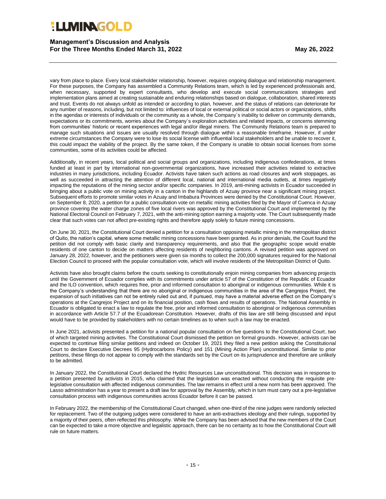**Management's Discussion and Analysis For the Three Months Ended March 31, 2022 May 26, 2022**

vary from place to place. Every local stakeholder relationship, however, requires ongoing dialogue and relationship management. For these purposes, the Company has assembled a Community Relations team, which is led by experienced professionals and, when necessary, supported by expert consultants, who develop and execute social communications strategies and implementation plans aimed at creating sustainable and enduring relationships based on dialogue, collaboration, shared interests and trust. Events do not always unfold as intended or according to plan, however, and the status of relations can deteriorate for any number of reasons, including, but not limited to: influences of local or external political or social actors or organizations, shifts in the agendas or interests of individuals or the community as a whole, the Company´s inability to deliver on community demands, expectations or its commitments, worries about the Company´s exploration activities and related impacts, or concerns stemming from communities' historic or recent experiences with legal and/or illegal miners. The Community Relations team is prepared to manage such situations and issues are usually resolved through dialogue within a reasonable timeframe. However, if under extreme circumstances the Company were to lose its social license with influential local stakeholders and be unable to recover it, this could impact the viability of the project. By the same token, if the Company is unable to obtain social licenses from some communities, some of its activities could be affected.

Additionally, in recent years, local political and social groups and organizations, including indigenous confederations, at times funded at least in part by international non-governmental organizations, have increased their activities related to extractive industries in many jurisdictions, including Ecuador. Activists have taken such actions as road closures and work stoppages, as well as succeeded in attracting the attention of different local, national and international media outlets, at times negatively impacting the reputations of the mining sector and/or specific companies. In 2019, anti-mining activists in Ecuador succeeded in bringing about a public vote on mining activity in a canton in the highlands of Azuay province near a significant mining project. Subsequent efforts to promote similar votes in Azuay and Imbabura Provinces were denied by the Constitutional Court. However, on September 8, 2020, a petition for a public consultation vote on metallic mining activities filed by the Mayor of Cuenca in Azuay province covering the water charge zones of five local rivers was approved by the Constitutional Court and implemented by the National Electoral Council on February 7, 2021, with the anti-mining option earning a majority vote. The Court subsequently made clear that such votes can not affect pre-existing rights and therefore apply solely to future mining concessions.

On June 30, 2021, the Constitutional Court denied a petition for a consultation opposing metallic mining in the metropolitan district of Quito, the nation's capital, where some metallic mining concessions have been granted. As in prior denials, the Court found the petition did not comply with basic clarity and transparency requirements, and also that the geographic scope would enable residents of one canton to decide on matters affecting residents of neighboring cantons. A revised petition was approved on January 28, 2022, however, and the petitioners were given six months to collect the 200,000 signatures required for the National Election Council to proceed with the popular consultation vote, which will involve residents of the Metropolitan District of Quito.

Activists have also brought claims before the courts seeking to constitutionally enjoin mining companies from advancing projects until the Government of Ecuador complies with its commitments under article 57 of the Constitution of the Republic of Ecuador and the ILO convention, which requires free, prior and informed consultation to aboriginal or indigenous communities. While it is the Company's understanding that there are no aboriginal or indigenous communities in the area of the Cangrejos Project, the expansion of such initiatives can not be entirely ruled out and, if pursued, may have a material adverse effect on the Company's operations at the Cangrejos Project and on its financial position, cash flows and results of operations. The National Assembly in Ecuador is obligated to enact a law to regulate the free, prior and informed consultation to aboriginal or indigenous communities in accordance with Article 57.7 of the Ecuadorean Constitution. However, drafts of this law are still being discussed and input would have to be provided by stakeholders with no certain timelines as to when such a law may be enacted.

In June 2021, activists presented a petition for a national popular consultation on five questions to the Constitutional Court, two of which targeted mining activities. The Constitutional Court dismissed the petition on formal grounds. However, activists can be expected to continue filing similar petitions and indeed on October 19, 2021 they filed a new petition asking the Constitutional Court to declare Executive Decrees 95 (Hydrocarbons Policy) and 151 (Mining Action Plan) unconstitutional. Similar to prior petitions, these filings do not appear to comply with the standards set by the Court on its jurisprudence and therefore are unlikely to be admitted.

In January 2022, the Constitutional Court declared the Hydric Resources Law unconstitutional. This decision was in response to a petition presented by activists in 2015, who claimed that the legislation was enacted without conducting the requisite prelegislative consultation with affected indigenous communities. The law remains in effect until a new norm has been approved. The Lasso administration has a year to present a draft law for approval by the Assembly, which in turn must carry out a pre-legislative consultation process with indigenous communities across Ecuador before it can be passed.

In February 2022, the membership of the Constitutional Court changed, when one-third of the nine judges were randomly selected for replacement. Two of the outgoing judges were considered to have an anti-extractives ideology and their rulings, supported by a majority of their peers, often reflected this philosophy. While the Company has been advised that the new members of the Court can be expected to take a more objective and legalistic approach, there can be no certainty as to how the Constitutional Court will rule on future matters.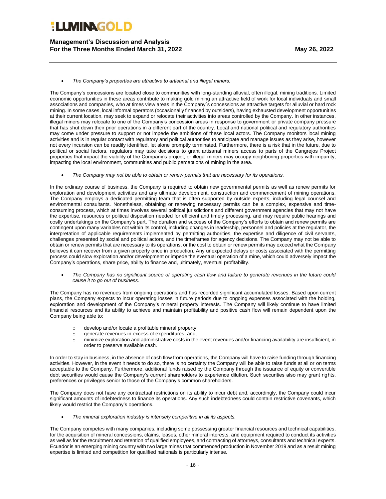**Management's Discussion and Analysis For the Three Months Ended March 31, 2022 May 26, 2022**

• *The Company's properties are attractive to artisanal and illegal miners.*

The Company's concessions are located close to communities with long-standing alluvial, often illegal, mining traditions. Limited economic opportunities in these areas contribute to making gold mining an attractive field of work for local individuals and small associations and companies, who at times view areas in the Company´s concessions as attractive targets for alluvial or hard rock mining. In some cases, local informal operators (occasionally financed by outsiders), having exhausted development opportunities at their current location, may seek to expand or relocate their activities into areas controlled by the Company. In other instances, illegal miners may relocate to one of the Company's concession areas in response to government or private company pressure that has shut down their prior operations in a different part of the country. Local and national political and regulatory authorities may come under pressure to support or not impede the ambitions of these local actors. The Company monitors local mining activities and is in regular contact with regulatory and political authorities to anticipate and manage issues as they arise, however not every incursion can be readily identified, let alone promptly terminated. Furthermore, there is a risk that in the future, due to political or social factors, regulators may take decisions to grant artisanal miners access to parts of the Cangrejos Project properties that impact the viability of the Company's project, or illegal miners may occupy neighboring properties with impunity, impacting the local environment, communities and public perceptions of mining in the area.

• *The Company may not be able to obtain or renew permits that are necessary for its operations.*

In the ordinary course of business, the Company is required to obtain new governmental permits as well as renew permits for exploration and development activities and any ultimate development, construction and commencement of mining operations. The Company employs a dedicated permitting team that is often supported by outside experts, including legal counsel and environmental consultants. Nonetheless, obtaining or renewing necessary permits can be a complex, expensive and timeconsuming process, which at times involves several political jurisdictions and different government agencies that may not have the expertise, resources or political disposition needed for efficient and timely processing, and may require public hearings and costly undertakings on the Company's part. The duration and success of the Company's efforts to obtain and renew permits are contingent upon many variables not within its control, including changes in leadership, personnel and policies at the regulator, the interpretation of applicable requirements implemented by permitting authorities, the expertise and diligence of civil servants, challenges presented by social and political actors, and the timeframes for agency decisions. The Company may not be able to obtain or renew permits that are necessary to its operations, or the cost to obtain or renew permits may exceed what the Company believes it can recover from a given property once in production. Any unexpected delays or costs associated with the permitting process could slow exploration and/or development or impede the eventual operation of a mine, which could adversely impact the Company's operations, share price, ability to finance and, ultimately, eventual profitability.

• *The Company has no significant source of operating cash flow and failure to generate revenues in the future could cause it to go out of business.* 

The Company has no revenues from ongoing operations and has recorded significant accumulated losses. Based upon current plans, the Company expects to incur operating losses in future periods due to ongoing expenses associated with the holding, exploration and development of the Company's mineral property interests. The Company will likely continue to have limited financial resources and its ability to achieve and maintain profitability and positive cash flow will remain dependent upon the Company being able to:

- o develop and/or locate a profitable mineral property;
- o generate revenues in excess of expenditures; and,
- o minimize exploration and administrative costs in the event revenues and/or financing availability are insufficient, in order to preserve available cash.

In order to stay in business, in the absence of cash flow from operations, the Company will have to raise funding through financing activities. However, in the event it needs to do so, there is no certainty the Company will be able to raise funds at all or on terms acceptable to the Company. Furthermore, additional funds raised by the Company through the issuance of equity or convertible debt securities would cause the Company's current shareholders to experience dilution. Such securities also may grant rights, preferences or privileges senior to those of the Company's common shareholders.

The Company does not have any contractual restrictions on its ability to incur debt and, accordingly, the Company could incur significant amounts of indebtedness to finance its operations. Any such indebtedness could contain restrictive covenants, which likely would restrict the Company's operations.

• *The mineral exploration industry is intensely competitive in all its aspects.*

The Company competes with many companies, including some possessing greater financial resources and technical capabilities, for the acquisition of mineral concessions, claims, leases, other mineral interests, and equipment required to conduct its activities as well as for the recruitment and retention of qualified employees, and contracting of attorneys, consultants and technical experts. Ecuador is an emerging mining country with two large mines that commenced production in November 2019 and as a result mining expertise is limited and competition for qualified nationals is particularly intense.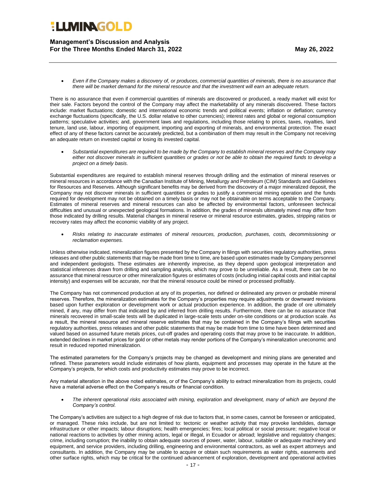**Management's Discussion and Analysis For the Three Months Ended March 31, 2022 May 26, 2022**

• *Even if the Company makes a discovery of, or produces, commercial quantities of minerals, there is no assurance that there will be market demand for the mineral resource and that the investment will earn an adequate return.*

There is no assurance that even if commercial quantities of minerals are discovered or produced, a ready market will exist for their sale. Factors beyond the control of the Company may affect the marketability of any minerals discovered. These factors include: market fluctuations; domestic and international economic trends and political events; inflation or deflation; currency exchange fluctuations (specifically, the U.S. dollar relative to other currencies); interest rates and global or regional consumption patterns; speculative activities; and, government laws and regulations, including those relating to prices, taxes, royalties, land tenure, land use, labour, importing of equipment, importing and exporting of minerals, and environmental protection. The exact effect of any of these factors cannot be accurately predicted, but a combination of them may result in the Company not receiving an adequate return on invested capital or losing its invested capital.

• *Substantial expenditures are required to be made by the Company to establish mineral reserves and the Company may either not discover minerals in sufficient quantities or grades or not be able to obtain the required funds to develop a project on a timely basis.*

Substantial expenditures are required to establish mineral reserves through drilling and the estimation of mineral reserves or mineral resources in accordance with the Canadian Institute of Mining, Metallurgy and Petroleum (CIM) Standards and Guidelines for Resources and Reserves. Although significant benefits may be derived from the discovery of a major mineralized deposit, the Company may not discover minerals in sufficient quantities or grades to justify a commercial mining operation and the funds required for development may not be obtained on a timely basis or may not be obtainable on terms acceptable to the Company. Estimates of mineral reserves and mineral resources can also be affected by environmental factors, unforeseen technical difficulties and unusual or unexpected geological formations. In addition, the grades of minerals ultimately mined may differ from those indicated by drilling results. Material changes in mineral reserve or mineral resource estimates, grades, stripping ratios or recovery rates may affect the economic viability of any project.

• *Risks relating to inaccurate estimates of mineral resources, production, purchases, costs, decommissioning or reclamation expenses.*

Unless otherwise indicated, mineralization figures presented by the Company in filings with securities regulatory authorities, press releases and other public statements that may be made from time to time, are based upon estimates made by Company personnel and independent geologists. These estimates are inherently imprecise, as they depend upon geological interpretation and statistical inferences drawn from drilling and sampling analysis, which may prove to be unreliable. As a result, there can be no assurance that mineral resource or other mineralization figures or estimates of costs (including initial capital costs and initial capital intensity) and expenses will be accurate, nor that the mineral resource could be mined or processed profitably.

The Company has not commenced production at any of its properties, nor defined or delineated any proven or probable mineral reserves. Therefore, the mineralization estimates for the Company's properties may require adjustments or downward revisions based upon further exploration or development work or actual production experience. In addition, the grade of ore ultimately mined, if any, may differ from that indicated by and inferred from drilling results. Furthermore, there can be no assurance that minerals recovered in small-scale tests will be duplicated in large-scale tests under on-site conditions or at production scale. As a result, the mineral resource and mineral reserve estimates that may be contained in the Company's filings with securities regulatory authorities, press releases and other public statements that may be made from time to time have been determined and valued based on assumed future metals prices, cut-off grades and operating costs that may prove to be inaccurate. In addition, extended declines in market prices for gold or other metals may render portions of the Company's mineralization uneconomic and result in reduced reported mineralization.

The estimated parameters for the Company's projects may be changed as development and mining plans are generated and refined. These parameters would include estimates of how plants, equipment and processes may operate in the future at the Company's projects, for which costs and productivity estimates may prove to be incorrect.

Any material alteration in the above noted estimates, or of the Company's ability to extract mineralization from its projects, could have a material adverse effect on the Company's results or financial condition.

• *The inherent operational risks associated with mining, exploration and development, many of which are beyond the Company's control.*

The Company's activities are subject to a high degree of risk due to factors that, in some cases, cannot be foreseen or anticipated, or managed. These risks include, but are not limited to: tectonic or weather activity that may provoke landslides, damage infrastructure or other impacts; labour disruptions; health emergencies; fires; local political or social pressure; negative local or national reactions to activities by other mining actors, legal or illegal, in Ecuador or abroad; legislative and regulatory changes; crime, including corruption; the inability to obtain adequate sources of power, water, labour, suitable or adequate machinery and equipment, and service providers, including drilling, engineering and environmental contractors, as well as expert attorneys and consultants. In addition, the Company may be unable to acquire or obtain such requirements as water rights, easements and other surface rights, which may be critical for the continued advancement of exploration, development and operational activities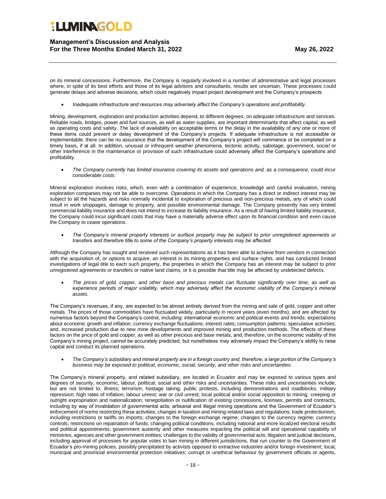**Management's Discussion and Analysis For the Three Months Ended March 31, 2022 May 26, 2022**

on its mineral concessions. Furthermore, the Company is regularly involved in a number of administrative and legal processes where, in spite of its best efforts and those of its legal advisors and consultants, results are uncertain. These processes could generate delays and adverse decisions, which could negatively impact project development and the Company's prospects.

• *Inadequate infrastructure and resources may adversely affect the Company's operations and profitability.*

Mining, development, exploration and production activities depend, to different degrees, on adequate infrastructure and services. Reliable roads, bridges, power and fuel sources, as well as water supplies, are important determinants that affect capital, as well as operating costs and safety. The lack of availability on acceptable terms or the delay in the availability of any one or more of these items could prevent or delay development of the Company's projects. If adequate infrastructure is not accessible or implementable, there can be no assurance that the development of the Company's project will commence or be completed on a timely basis, if at all. In addition, unusual or infrequent weather phenomena, tectonic activity, sabotage, government, social or other interference in the maintenance or provision of such infrastructure could adversely affect the Company's operations and profitability.

• *The Company currently has limited insurance covering its assets and operations and, as a consequence, could incur considerable costs.*

Mineral exploration involves risks, which, even with a combination of experience, knowledge and careful evaluation, mining exploration companies may not be able to overcome. Operations in which the Company has a direct or indirect interest may be subject to all the hazards and risks normally incidental to exploration of precious and non-precious metals, any of which could result in work stoppages, damage to property, and possible environmental damage. The Company presently has very limited commercial liability insurance and does not intend to increase its liability insurance. As a result of having limited liability insurance, the Company could incur significant costs that may have a materially adverse effect upon its financial condition and even cause the Company to cease operations.

• *The Company's mineral property interests or surface property may be subject to prior unregistered agreements or transfers and therefore title to some of the Company's property interests may be affected.*

Although the Company has sought and received such representations as it has been able to achieve from vendors in connection with the acquisition of, or options to acquire, an interest in its mining properties and surface rights, and has conducted limited investigations of legal title to each such property, the properties in which the Company has an interest may be subject to prior unregistered agreements or transfers or native land claims, or it is possible that title may be affected by undetected defects.

• *The prices of gold, copper, and other base and precious metals can fluctuate significantly over time, as well as experience periods of major volatility, which may adversely affect the economic viability of the Company's mineral assets.*

The Company's revenues, if any, are expected to be almost entirely derived from the mining and sale of gold, copper and other metals. The prices of those commodities have fluctuated widely, particularly in recent years (even months), and are affected by numerous factors beyond the Company's control, including: international economic and political events and trends; expectations about economic growth and inflation; currency exchange fluctuations; interest rates; consumption patterns; speculative activities; and, increased production due to new mine developments and improved mining and production methods. The effects of these factors on the price of gold and copper, as well as other precious and base metals, and, therefore, on the economic viability of the Company's mining project, cannot be accurately predicted, but nonetheless may adversely impact the Company's ability to raise capital and conduct its planned operations.

• *The Company's subsidiary and mineral property are in a foreign country and, therefore, a large portion of the Company's business may be exposed to political, economic, social, security, and other risks and uncertainties.*

The Company's mineral property, and related subsidiary, are located in Ecuador and may be exposed to various types and degrees of security, economic, labour, political, social and other risks and uncertainties. These risks and uncertainties include, but are not limited to: illness; terrorism; hostage taking; public protests, including demonstrations and roadblocks; military repression; high rates of inflation; labour unrest; war or civil unrest; local political and/or social opposition to mining; creeping or outright expropriation and nationalization; renegotiation or nullification of existing concessions, licenses, permits and contracts, including by way of invalidation of governmental acts; artisanal and illegal mining operations and the Government of Ecuador's enforcement of norms restricting these activities; changes in taxation and mining-related laws and regulations; trade protectionism, including restrictions or tariffs on imports; changes to the foreign exchange regime; changes to the currency regime; currency controls; restrictions on repatriation of funds; changing political conditions, including national and more localized electoral results and political appointments; government austerity and other measures impacting the political will and operational capability of ministries, agencies and other government entities; challenges to the validity of governmental acts; litigation and judicial decisions, including approval of processes for popular votes to ban mining in different jurisdictions, that run counter to the Government of Ecuador's pro-mining policies, possibly precipitated by activists opposed to extractive industries and/or foreign investment; local, municipal and provincial environmental protection initiatives; corrupt or unethical behaviour by government officials or agents,